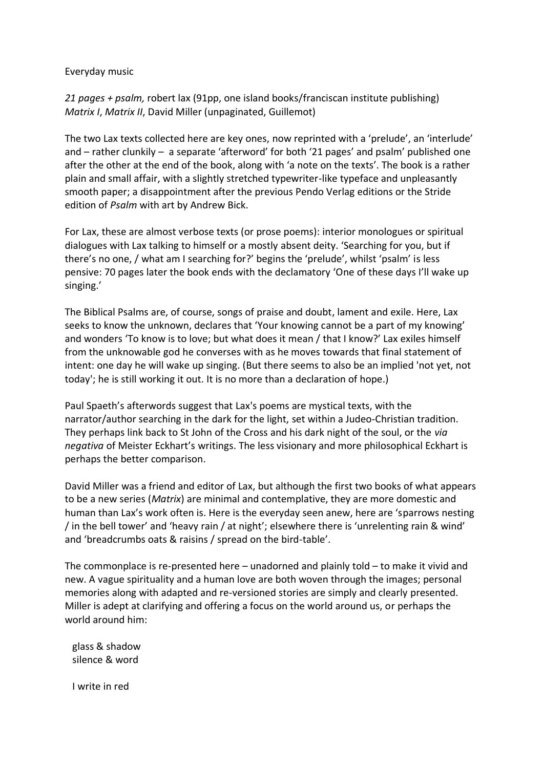Everyday music

*21 pages + psalm,* robert lax (91pp, one island books/franciscan institute publishing) *Matrix I*, *Matrix II*, David Miller (unpaginated, Guillemot)

The two Lax texts collected here are key ones, now reprinted with a 'prelude', an 'interlude' and – rather clunkily – a separate 'afterword' for both '21 pages' and psalm' published one after the other at the end of the book, along with 'a note on the texts'. The book is a rather plain and small affair, with a slightly stretched typewriter-like typeface and unpleasantly smooth paper; a disappointment after the previous Pendo Verlag editions or the Stride edition of *Psalm* with art by Andrew Bick.

For Lax, these are almost verbose texts (or prose poems): interior monologues or spiritual dialogues with Lax talking to himself or a mostly absent deity. 'Searching for you, but if there's no one, / what am I searching for?' begins the 'prelude', whilst 'psalm' is less pensive: 70 pages later the book ends with the declamatory 'One of these days I'll wake up singing.'

The Biblical Psalms are, of course, songs of praise and doubt, lament and exile. Here, Lax seeks to know the unknown, declares that 'Your knowing cannot be a part of my knowing' and wonders 'To know is to love; but what does it mean / that I know?' Lax exiles himself from the unknowable god he converses with as he moves towards that final statement of intent: one day he will wake up singing. (But there seems to also be an implied 'not yet, not today'; he is still working it out. It is no more than a declaration of hope.)

Paul Spaeth's afterwords suggest that Lax's poems are mystical texts, with the narrator/author searching in the dark for the light, set within a Judeo-Christian tradition. They perhaps link back to St John of the Cross and his dark night of the soul, or the *via negativa* of Meister Eckhart's writings. The less visionary and more philosophical Eckhart is perhaps the better comparison.

David Miller was a friend and editor of Lax, but although the first two books of what appears to be a new series (*Matrix*) are minimal and contemplative, they are more domestic and human than Lax's work often is. Here is the everyday seen anew, here are 'sparrows nesting / in the bell tower' and 'heavy rain / at night'; elsewhere there is 'unrelenting rain & wind' and 'breadcrumbs oats & raisins / spread on the bird-table'.

The commonplace is re-presented here – unadorned and plainly told – to make it vivid and new. A vague spirituality and a human love are both woven through the images; personal memories along with adapted and re-versioned stories are simply and clearly presented. Miller is adept at clarifying and offering a focus on the world around us, or perhaps the world around him:

 glass & shadow silence & word

I write in red